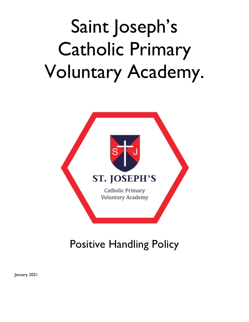

# Positive Handling Policy

January 2021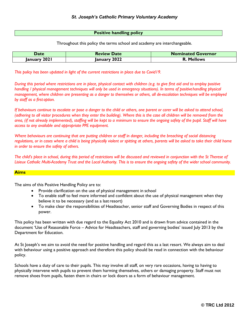#### **Positive handling policy**

Throughout this policy the terms school and academy are interchangeable.

| <b>Date</b>  | <b>Review Date</b> | <b>Nominated Governor</b> |
|--------------|--------------------|---------------------------|
| January 2021 | January 2022       | <b>R. Mellows</b>         |

*This policy has been updated in light of the current restrictions in place due to Covid19.*

*During this period where restrictions are in place, physical contact with children (e.g. to give first aid and to employ positive handling / physical management techniques will only be used in emergency situations). In terms of positive handling physical management, where children are presenting as a danger to themselves or others, all de-escalation techniques will be employed by staff as a first option.*

*If behaviours continue to escalate or pose a danger to the child or others, one parent or carer will be asked to attend school, (adhering to all visitor procedures when they enter the building). Where this is the case all children will be removed from the area, (if not already implemented), staffing will be kept to a minimum to ensure the ongoing safety of the pupil. Staff will have access to any available and appropriate PPE equipment.*

*Where behaviours are continuing that are putting children or staff in danger, including the breaching of social distancing*  regulations, or in cases where a child is being physically violent or spitting at others, parents will be asked to take their child home *in order to ensure the safety of others.*

*The child's place in school, during this period of restrictions will be discussed and reviewed in conjunction with the St Therese of Lisieux Catholic Multi-Academy Trust and the Local Authority. This is to ensure the ongoing safety of the wider school community.*

#### **Aims**

The aims of this Positive Handling Policy are to:

- Provide clarification on the use of physical management in school
- To enable staff to feel more informed and confident about the use of physical management when they believe it to be necessary (and as a lastresort)
- To make clear the responsibilities of Headteacher, senior staff and Governing Bodies in respect of this power.

This policy has been written with due regard to the Equality Act 2010 and is drawn from advice contained in the document 'Use of Reasonable Force – Advice for Headteachers, staff and governing bodies' issued July 2013 by the Department for Education.

At St Joseph's we aim to avoid the need for positive handling and regard this as a last resort. We always aim to deal with behaviour using a positive approach and therefore this policy should be read in connection with the behaviour policy.

Schools have a duty of care to their pupils. This may involve all staff, on very rare occasions, having to having to physically intervene with pupils to prevent them harming themselves, others or damaging property. Staff must not remove shoes from pupils, fasten them in chairs or lock doors as a form of behaviour management.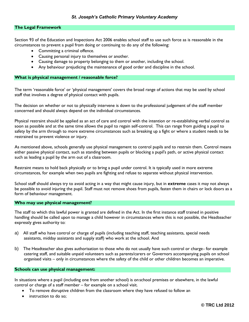#### **The Legal Framework**

Section 93 of the Education and Inspections Act 2006 enables school staff to use such force as is reasonable in the circumstances to prevent a pupil from doing or continuing to do any of the following:

- Committing a criminal offence.
- Causing personal injury to themselves or another.
- Causing damage to property belonging to them or another, including the school.
- Any behaviour prejudicing the maintenance of good order and discipline in the school.

#### **What is physical management / reasonable force?**

The term 'reasonable force' or 'physical management' covers the broad range of actions that may be used by school staff that involves a degree of physical contact with pupils.

The decision on whether or not to physically intervene is down to the professional judgement of the staff member concerned and should always depend on the individual circumstances.

Physical restraint should be applied as an act of care and control with the intention or re-establishing verbal control as soon as possible and at the same time allows the pupil to regain self-control. This can range from guiding a pupil to safety by the arm through to more extreme circumstances such as breaking up a fight or where a student needs to be restrained to prevent violence or injury.

As mentioned above, schools generally use physical management to control pupils and to restrain them. Control means either passive physical contact, such as standing between pupils or blocking a pupil's path, or active physical contact such as leading a pupil by the arm out of a classroom.

Restraint means to hold back physically or to bring a pupil under control. It is typically used in more extreme circumstances, for example when two pupils are fighting and refuse to separate without physical intervention.

School staff should always try to avoid acting in a way that might cause injury, but in **extreme** cases it may not always be possible to avoid injuring the pupil. Staff must not remove shoes from pupils, fasten them in chairs or lock doors as a form of behaviour management.

#### **Who may use physical management?**

The staff to which this lawful power is granted are defined in the Act. In the first instance staff trained in positive handling should be called upon to manage a child however in circumstances where this is not possible, the Headteacher expressly gives authority to:

- a) All staff who have control or charge of pupils (including teaching staff, teaching assistants, special needs assistants, midday assistants and supply staff) who work at the school. And
- b) The Headteacher also gives authorisation to those who do not usually have such control or charge- for example catering staff, and suitable unpaid volunteers such as parents/carers or Governors accompanying pupils on school organised visits – only in circumstances where the safety of the child or other children becomes an imperative.

#### **Schools can use physical management:**

In situations where a pupil (including one from another school) is on school premises or elsewhere, in the lawful control or charge of a staff member – for example on a school visit.

- To remove disruptive children from the classroom where they have refused to follow an
- instruction to do so;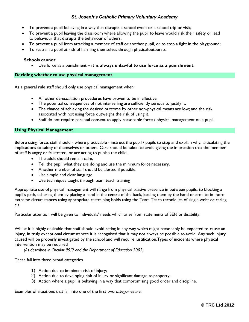- To prevent a pupil behaving in a way that disrupts a school event or a school trip or visit;
- To prevent a pupil leaving the classroom where allowing the pupil to leave would risk their safety or lead to behaviour that disrupts the behaviour of others;
- To prevent a pupil from attacking a member of staff or another pupil, or to stop a fight in the playground;
- To restrain a pupil at risk of harming themselves through physicaloutbursts.

#### **Schools cannot:**

Use force as a punishment – **it is always unlawful to use force as a punishment.**

#### **Deciding whether to use physical management**

As a general rule staff should only use physical management when:

- All other de-escalation procedures have proven to be in effective.
- The potential consequences of not intervening are sufficiently serious to justify it.
- The chance of achieving the desired outcome by other non-physical means are low; and the risk associated with not using force outweighs the risk of using it.
- Staff do not require parental consent to apply reasonable force / physical management on a pupil.

#### **Using Physical Management**

Before using force, staff should - where practicable - instruct the pupil / pupils to stop and explain why, articulating the implications to safety of themselves or others. Care should be taken to avoid giving the impression that the member of staff is angry or frustrated, or are acting to punish the child.

- The adult should remain calm,
- Tell the pupil what they are doing and use the minimum force necessary.
- Another member of staff should be alerted if possible.
- Use simple and clear language
- Use techniques taught through team teach training

Appropriate use of physical management will range from physical passive presence in between pupils, to blocking a pupil's path, ushering them by placing a hand in the centre of the back, leading them by the hand or arm, to in more extreme circumstances using appropriate restraining holds using the Team Teach techniques of single wrist or caring c's.

Particular attention will be given to individuals' needs which arise from statements of SEN or disability.

Whilst it is highly desirable that staff should avoid acting in any way which might reasonably be expected to cause an injury, in truly exceptional circumstances it is recognised that it may not always be possible to avoid. Any such injury caused will be properly investigated by the school and will require justification.Types of incidents where physical intervention may be required

*(As described in Circular 99/9 and the Department of Education 2002)*

These fall into three broad categories

- 1) Action due to imminent risk of injury;
- 2) Action due to developing risk of injury or significant damage to property;
- 3) Action where a pupil is behaving in a way that compromising good order and discipline.

Examples of situations that fall into one of the first two categories are: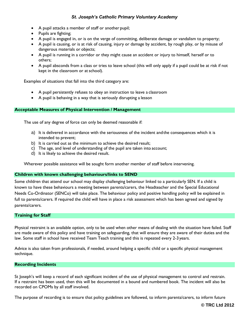- A pupil attacks a member of staff or another pupil;
- Pupils are fighting;
- A pupil is engaged in, or is on the verge of committing, deliberate damage or vandalism to property;
- A pupil is causing, or is at risk of causing, injury or damage by accident, by rough play, or by misuse of dangerous materials or objects;
- A pupil is running in a corridor or they might cause an accident or injury to himself, herself or to others;
- A pupil absconds from a class or tries to leave school (this will only apply if a pupil could be at risk if not kept in the classroom or at school).

Examples of situations that fall into the third category are:

- A pupil persistently refuses to obey an instruction to leave a classroom
- A pupil is behaving in a way that is seriously disrupting a lesson

#### **Acceptable Measures of Physical Intervention / Management**

The use of any degree of force can only be deemed reasonable if:

- a) It is delivered in accordance with the seriousness of the incident andthe consequences which it is intended to prevent;
- b) It is carried out as the minimum to achieve the desired result;
- c) The age, and level of understanding of the pupil are taken into account;
- d) It is likely to achieve the desired result.

Wherever possible assistance will be sought form another member of staff before intervening.

#### **Children with known challenging behaviours/links to SEND**

Some children that attend our school may display challenging behaviour linked to a particularly SEN. If a child is known to have these behaviours a meeting between parents/carers, the Headteacher and the Special Educational Needs Co-Ordinator (SENCo) will take place. The behaviour policy and positive handling policy will be explained in full to parents/carers. If required the child will have in place a risk assessment which has been agreed and signed by parents/carers.

#### **Training for Staff**

Physical restraint is an available option, only to be used when other means of dealing with the situation have failed. Staff are made aware of this policy and have training on safeguarding, that will ensure they are aware of their duties and the law. Some staff in school have received Team Teach training and this is repeated every 2-3 years.

Advice is also taken from professionals, if needed, around helping a specific child or a specific physical management technique.

#### **Recording Incidents**

St Joseph's will keep a record of each significant incident of the use of physical management to control and restrain. If a restraint has been used, then this will be documented in a bound and numbered book. The incident will also be recorded on CPOMs by all staff involved.

The purpose of recording is to ensure that policy guidelines are followed, to inform parents/carers, to inform future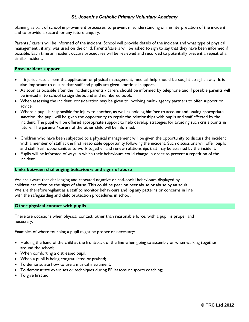planning as part of school improvement processes, to prevent misunderstanding or misinterpretation of the incident and to provide a record for any future enquiry.

Parents / carers will be informed of the incident. School will provide details of the incident and what type of physical management , if any, was used on the child. Parents/carers will be asked to sign to say that they have been informed if possible. Each time an incident occurs procedures will be reviewed and recorded to potentially prevent a repeat of a similar incident.

#### **Post-incident support**

- If injuries result from the application of physical management, medical help should be sought straight away. It is also important to ensure that staff and pupils are given emotional support.
- As soon as possible after the incident parents / carers should be informed by telephone and if possible parents will be invited in to school to sign thebound and numbered book.
- When assessing the incident, consideration may be given to involving multi- agency partners to offer support or advice.
- Where a pupil is responsible for injury to another, as well as holding him/her to account and issuing appropriate sanction, the pupil will be given the opportunity to repair the relationships with pupils and staff affected by the incident. The pupil will be offered appropriate support to help develop strategies for avoiding such crisis points in future. The parents / carers of the other child will be informed.
- Children who have been subjected to a physical management will be given the opportunity to discuss the incident with a member of staff at the first reasonable opportunity following the incident. Such discussions will offer pupils and staff fresh opportunities to work together and renew relationships that may be strained by the incident.
- Pupils will be informed of ways in which their behaviours could change in order to prevent a repetition of the incident.

#### **Links between challenging behaviours and signs of abuse**

We are aware that challenging and repeated negative or anti-social behaviours displayed by children can often be the signs of abuse. This could be peer on peer abuse or abuse by an adult. We are therefore vigilant as a staff to monitor behaviours and log any patterns or concerns in line with the safeguarding and child protection procedures in school.

#### **Other physical contact with pupils**

There are occasions when physical contact, other than reasonable force, with a pupil is proper and necessary.

Examples of where touching a pupil might be proper or necessary:

- Holding the hand of the child at the front/back of the line when going to assembly or when walking together around the school;
- When comforting a distressed pupil;
- When a pupil is being congratulated or praised;
- To demonstrate how to use a musical instrument;
- To demonstrate exercises or techniques during PE lessons or sports coaching;
- To give first aid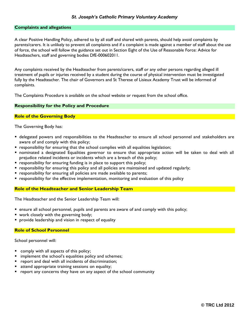#### **Complaints and allegations**

A clear Positive Handling Policy, adhered to by all staff and shared with parents, should help avoid complaints by parents/carers. It is unlikely to prevent all complaints and if a complaint is made against a member of staff about the use of force, the school will follow the guidance set out in Section Eight of the Use of Reasonable Force: Advice for Headteachers, staff and governing bodies DfE-000602011.

Any complaints received by the Headteacher from parents/carers, staff or any other persons regarding alleged ill treatment of pupils or injuries received by a student during the course of physical intervention must be investigated fully by the Headteacher. The chair of Governors and St Therese of Lisieux Academy Trust will be informed of complaints.

The Complaints Procedure is available on the school website or request from the school office.

#### **Responsibility for the Policy and Procedure**

#### **Role of the Governing Body**

The Governing Body has:

- delegated powers and responsibilities to the Headteacher to ensure all school personnel and stakeholders are aware of and comply with this policy;
- **•** responsibility for ensuring that the school complies with all equalities legislation;
- nominated a designated Equalities governor to ensure that appropriate action will be taken to deal with all prejudice related incidents or incidents which are a breach of this policy;
- **•** responsibility for ensuring funding is in place to support this policy;
- responsibility for ensuring this policy and all policies are maintained and updated regularly;
- **•** responsibility for ensuring all policies are made available to parents;
- **P** responsibility for the effective implementation, monitoring and evaluation of this policy

#### **Role of the Headteacher and Senior Leadership Team**

The Headteacher and the Senior Leadership Team will:

- ensure all school personnel, pupils and parents are aware of and comply with this policy;
- **v** work closely with the governing body;
- **P** provide leadership and vision in respect of equality

#### **Role of School Personnel**

School personnel will:

- **Comply with all aspects of this policy;**
- implement the school's equalities policy and schemes;
- **P** report and deal with all incidents of discrimination;
- attend appropriate training sessions on equality;
- **•** report any concerns they have on any aspect of the school community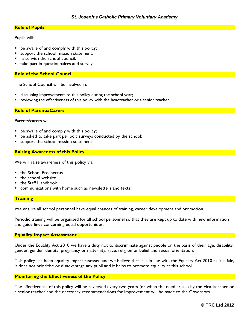## **Role of Pupils**

Pupils will:

- be aware of and comply with this policy;
- support the school mission statement;
- liaise with the school council;
- take part in questionnaires and surveys

#### **Role of the School Council**

The School Council will be involved in:

- discussing improvements to this policy during the school year;
- reviewing the effectiveness of this policy with the headteacher or a senior teacher

**Role of Parents/Carers**

Parents/carers will:

- **be aware of and comply with this policy;**
- be asked to take part periodic surveys conducted by the school;
- support the school mission statement

#### **Raising Awareness of this Policy**

We will raise awareness of this policy via:

- the School Prospectus
- the school website
- the Staff Handbook
- communications with home such as newsletters and texts

#### **Training**

We ensure all school personnel have equal chances of training, career development and promotion.

Periodic training will be organised for all school personnel so that they are kept up to date with new information and guide lines concerning equal opportunities.

#### **Equality Impact Assessment**

Under the Equality Act 2010 we have a duty not to discriminate against people on the basis of their age, disability, gender, gender identity, pregnancy or maternity, race, religion or belief and sexual orientation.

This policy has been equality impact assessed and we believe that it is in line with the Equality Act 2010 as it is fair, it does not prioritise or disadvantage any pupil and it helps to promote equality at this school.

#### **Monitoring the Effectiveness of the Policy**

The effectiveness of this policy will be reviewed every two years (or when the need arises) by the Headteacher or a senior teacher and the necessary recommendations for improvement will be made to the Governors.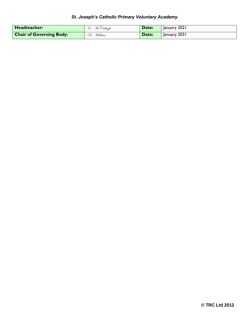| Headteacher:                    | E. McCullagh | Date: | January 2021 |
|---------------------------------|--------------|-------|--------------|
| <b>Chair of Governing Body:</b> | R. Mellows   | Date: | January 2021 |